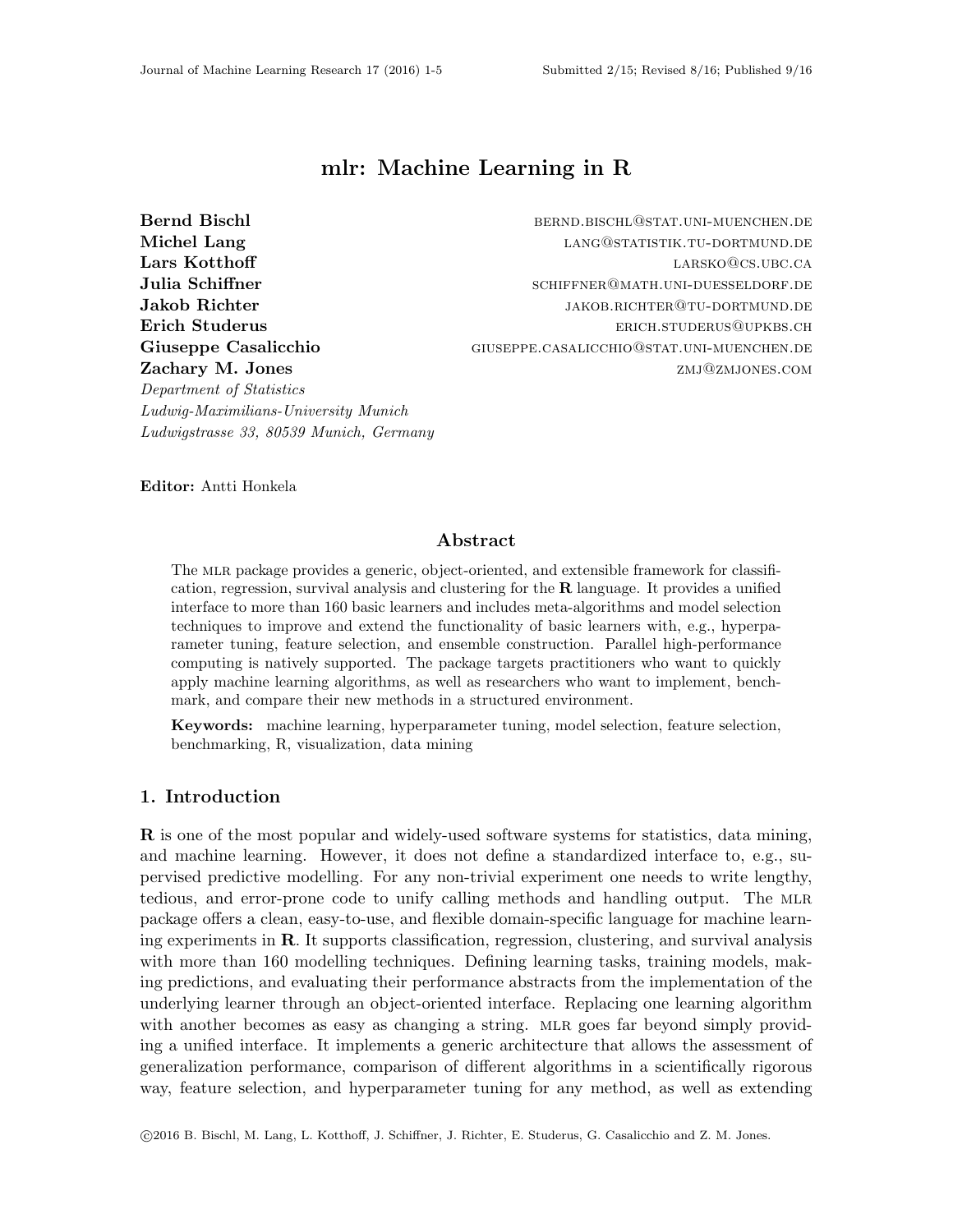# mlr: Machine Learning in R

Bernd Bischl bernd.bischlanden bernd.bischl@stat.uni-muenchen.de

Ludwig-Maximilians-University Munich Ludwigstrasse 33, 80539 Munich, Germany

Michel Lang and the state of the control of the LANG@STATISTIK.TU-DORTMUND.DE **Lars Kotthoff** large large large large large large large large large large large large large large large large l Julia Schiffner **Schiffner** SCHIFFNER@MATH.UNI-DUESSELDORF.DE Jakob Richter is a settlement of the settlement of the settlement of the settlement of the settlement of the s Erich Studerus erich.studerus erich.studerus erich.studerus erich.studerus erich.studerus erich.studerus erich Giuseppe Casalicchio GIUSEPPE.CASALICCHIO@STAT.UNI-MUENCHEN.DE **Zachary M. Jones zachary M. Jones zachary M. Jones** 

Editor: Antti Honkela

Department of Statistics

### Abstract

The mlr package provides a generic, object-oriented, and extensible framework for classification, regression, survival analysis and clustering for the R language. It provides a unified interface to more than 160 basic learners and includes meta-algorithms and model selection techniques to improve and extend the functionality of basic learners with, e.g., hyperparameter tuning, feature selection, and ensemble construction. Parallel high-performance computing is natively supported. The package targets practitioners who want to quickly apply machine learning algorithms, as well as researchers who want to implement, benchmark, and compare their new methods in a structured environment.

Keywords: machine learning, hyperparameter tuning, model selection, feature selection, benchmarking, R, visualization, data mining

# 1. Introduction

R is one of the most popular and widely-used software systems for statistics, data mining, and machine learning. However, it does not define a standardized interface to, e.g., supervised predictive modelling. For any non-trivial experiment one needs to write lengthy, tedious, and error-prone code to unify calling methods and handling output. The MLR package offers a clean, easy-to-use, and flexible domain-specific language for machine learning experiments in R. It supports classification, regression, clustering, and survival analysis with more than 160 modelling techniques. Defining learning tasks, training models, making predictions, and evaluating their performance abstracts from the implementation of the underlying learner through an object-oriented interface. Replacing one learning algorithm with another becomes as easy as changing a string. MLR goes far beyond simply providing a unified interface. It implements a generic architecture that allows the assessment of generalization performance, comparison of different algorithms in a scientifically rigorous way, feature selection, and hyperparameter tuning for any method, as well as extending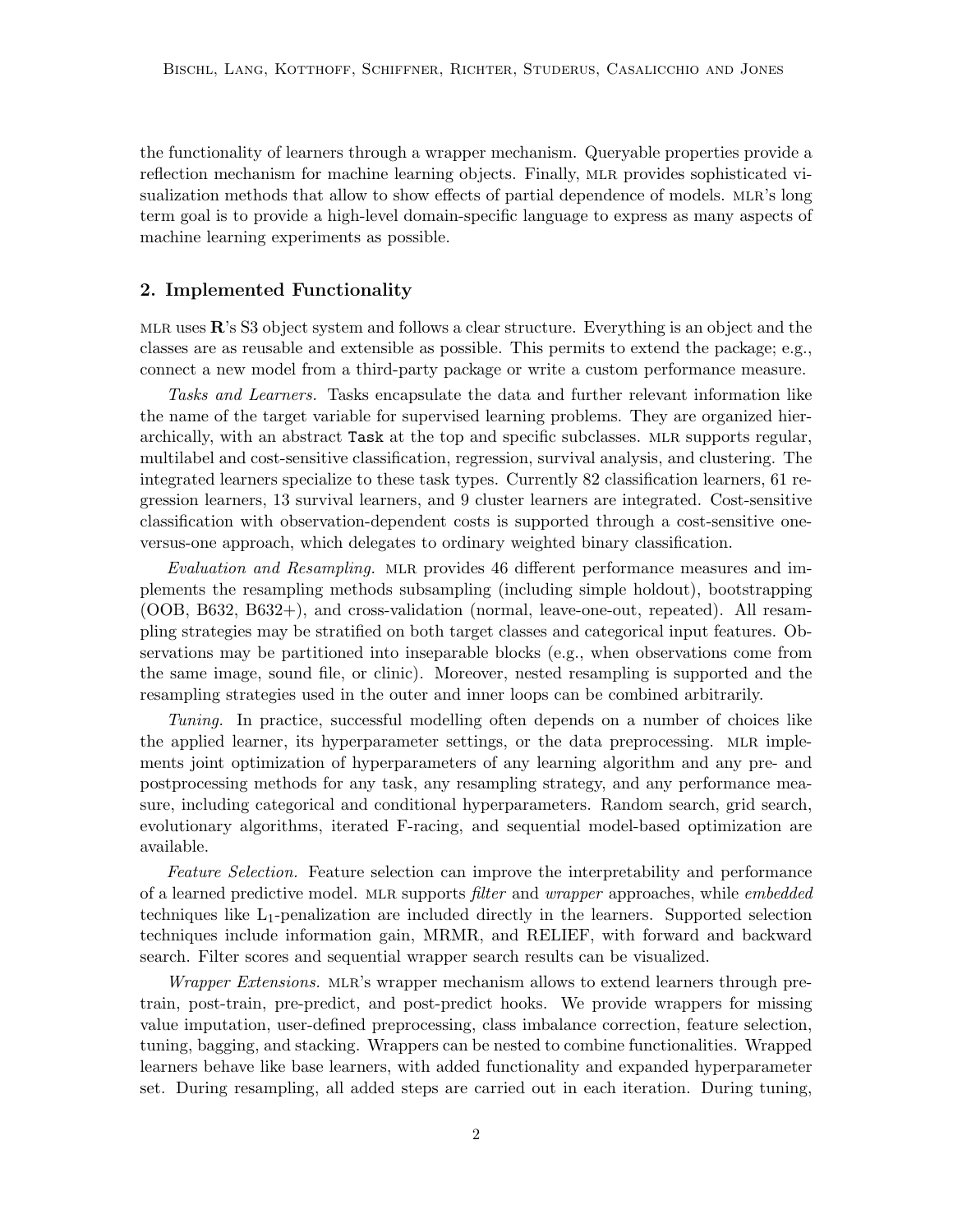the functionality of learners through a wrapper mechanism. Queryable properties provide a reflection mechanism for machine learning objects. Finally, MLR provides sophisticated visualization methods that allow to show effects of partial dependence of models. MLR's long term goal is to provide a high-level domain-specific language to express as many aspects of machine learning experiments as possible.

### 2. Implemented Functionality

MLR uses  $\mathbb{R}^3$ 's S3 object system and follows a clear structure. Everything is an object and the classes are as reusable and extensible as possible. This permits to extend the package; e.g., connect a new model from a third-party package or write a custom performance measure.

Tasks and Learners. Tasks encapsulate the data and further relevant information like the name of the target variable for supervised learning problems. They are organized hierarchically, with an abstract Task at the top and specific subclasses. MLR supports regular, multilabel and cost-sensitive classification, regression, survival analysis, and clustering. The integrated learners specialize to these task types. Currently 82 classification learners, 61 regression learners, 13 survival learners, and 9 cluster learners are integrated. Cost-sensitive classification with observation-dependent costs is supported through a cost-sensitive oneversus-one approach, which delegates to ordinary weighted binary classification.

Evaluation and Resampling. MLR provides 46 different performance measures and implements the resampling methods subsampling (including simple holdout), bootstrapping (OOB, B632, B632+), and cross-validation (normal, leave-one-out, repeated). All resampling strategies may be stratified on both target classes and categorical input features. Observations may be partitioned into inseparable blocks (e.g., when observations come from the same image, sound file, or clinic). Moreover, nested resampling is supported and the resampling strategies used in the outer and inner loops can be combined arbitrarily.

Tuning. In practice, successful modelling often depends on a number of choices like the applied learner, its hyperparameter settings, or the data preprocessing. MLR implements joint optimization of hyperparameters of any learning algorithm and any pre- and postprocessing methods for any task, any resampling strategy, and any performance measure, including categorical and conditional hyperparameters. Random search, grid search, evolutionary algorithms, iterated F-racing, and sequential model-based optimization are available.

Feature Selection. Feature selection can improve the interpretability and performance of a learned predictive model. MLR supports *filter* and *wrapper* approaches, while *embedded* techniques like L1-penalization are included directly in the learners. Supported selection techniques include information gain, MRMR, and RELIEF, with forward and backward search. Filter scores and sequential wrapper search results can be visualized.

Wrapper Extensions. MLR's wrapper mechanism allows to extend learners through pretrain, post-train, pre-predict, and post-predict hooks. We provide wrappers for missing value imputation, user-defined preprocessing, class imbalance correction, feature selection, tuning, bagging, and stacking. Wrappers can be nested to combine functionalities. Wrapped learners behave like base learners, with added functionality and expanded hyperparameter set. During resampling, all added steps are carried out in each iteration. During tuning,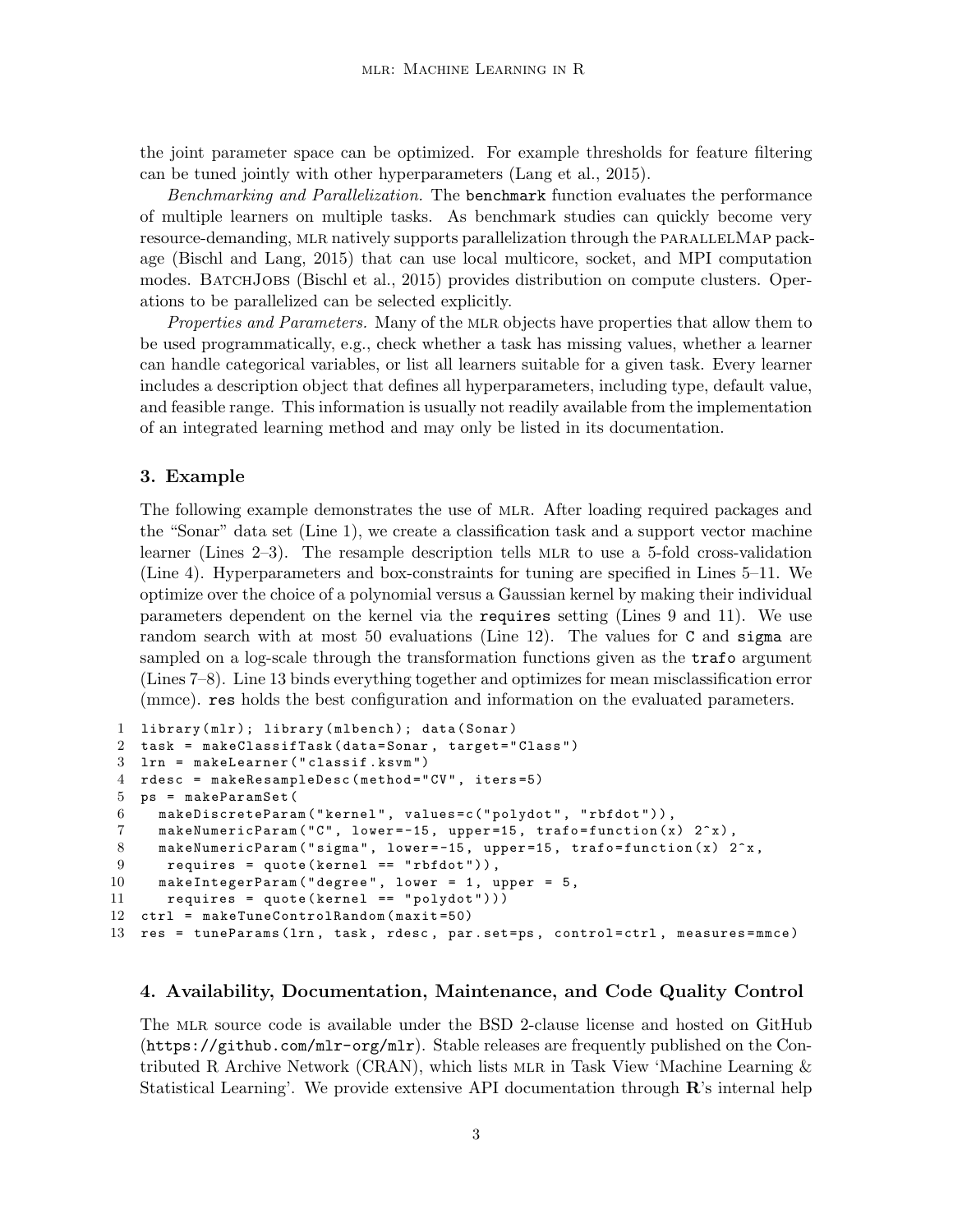the joint parameter space can be optimized. For example thresholds for feature filtering can be tuned jointly with other hyperparameters (Lang et al., 2015).

Benchmarking and Parallelization. The benchmark function evaluates the performance of multiple learners on multiple tasks. As benchmark studies can quickly become very resource-demanding, MLR natively supports parallelization through the PARALLELMAP package (Bischl and Lang, 2015) that can use local multicore, socket, and MPI computation modes. BATCHJOBS (Bischl et al., 2015) provides distribution on compute clusters. Operations to be parallelized can be selected explicitly.

Properties and Parameters. Many of the MLR objects have properties that allow them to be used programmatically, e.g., check whether a task has missing values, whether a learner can handle categorical variables, or list all learners suitable for a given task. Every learner includes a description object that defines all hyperparameters, including type, default value, and feasible range. This information is usually not readily available from the implementation of an integrated learning method and may only be listed in its documentation.

#### 3. Example

The following example demonstrates the use of MLR. After loading required packages and the "Sonar" data set (Line 1), we create a classification task and a support vector machine learner (Lines  $2-3$ ). The resample description tells MLR to use a 5-fold cross-validation (Line 4). Hyperparameters and box-constraints for tuning are specified in Lines 5–11. We optimize over the choice of a polynomial versus a Gaussian kernel by making their individual parameters dependent on the kernel via the requires setting (Lines 9 and 11). We use random search with at most 50 evaluations (Line 12). The values for C and sigma are sampled on a log-scale through the transformation functions given as the **trafo** argument (Lines 7–8). Line 13 binds everything together and optimizes for mean misclassification error (mmce). res holds the best configuration and information on the evaluated parameters.

```
1 library (mlr); library (mlbench); data (Sonar)
2 task = makeClassifTask ( data = Sonar , target = " Class " )
3 lrn = makeLearner ( " classif . ksvm " )
4 rdesc = makeResampleDesc ( method = " CV " , iters =5)
5 ps = makeParamSet (
6 makeDiscreteParam ( " kernel " , values = c ( " polydot " , " rbfdot " ) ) ,
7 makeNumericParam ("C", lower=-15, upper=15, trafo=function (x) 2^x x),
8 makeNumericParam ("sigma", lower=-15, upper=15, trafo=function (x) 2^x,
9 requires = quote (kernel == "rbfdot")),
10 makeIntegerParam ("degree", lower = 1, upper = 5,
11 requires = quote (kernel == "polydot")))
12 ctrl = makeTuneControlRandom ( maxit =50)
13 res = tuneParams (lrn, task, rdesc, par.set=ps, control=ctrl, measures=mmce)
```
#### 4. Availability, Documentation, Maintenance, and Code Quality Control

The mlr source code is available under the BSD 2-clause license and hosted on GitHub  $(\text{https://github.com/mlr-org/mlr}).$  Stable releases are frequently published on the Contributed R Archive Network (CRAN), which lists MLR in Task View 'Machine Learning  $\&$ Statistical Learning'. We provide extensive API documentation through  $\mathbf{R}$ 's internal help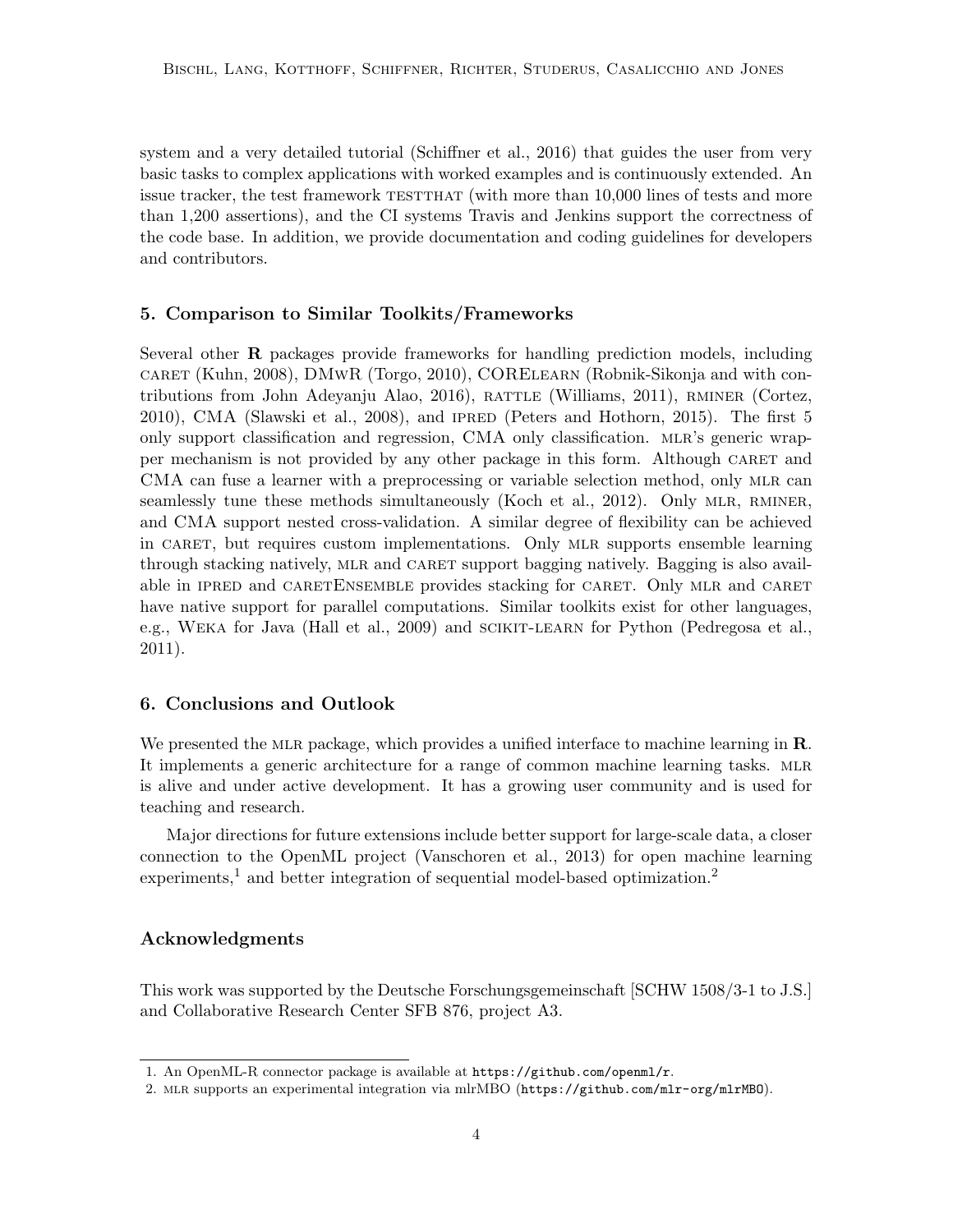system and a very detailed tutorial (Schiffner et al., 2016) that guides the user from very basic tasks to complex applications with worked examples and is continuously extended. An issue tracker, the test framework TESTTHAT (with more than 10,000 lines of tests and more than 1,200 assertions), and the CI systems Travis and Jenkins support the correctness of the code base. In addition, we provide documentation and coding guidelines for developers and contributors.

### 5. Comparison to Similar Toolkits/Frameworks

Several other R packages provide frameworks for handling prediction models, including caret (Kuhn, 2008), DMwR (Torgo, 2010), CORElearn (Robnik-Sikonja and with contributions from John Adeyanju Alao, 2016), rattle (Williams, 2011), rminer (Cortez, 2010), CMA (Slawski et al., 2008), and ipred (Peters and Hothorn, 2015). The first 5 only support classification and regression, CMA only classification. mlr's generic wrapper mechanism is not provided by any other package in this form. Although caret and CMA can fuse a learner with a preprocessing or variable selection method, only MLR can seamlessly tune these methods simultaneously (Koch et al., 2012). Only MLR, RMINER, and CMA support nested cross-validation. A similar degree of flexibility can be achieved in CARET, but requires custom implementations. Only MLR supports ensemble learning through stacking natively, mlr and caret support bagging natively. Bagging is also available in IPRED and CARETENSEMBLE provides stacking for CARET. Only MLR and CARET have native support for parallel computations. Similar toolkits exist for other languages, e.g., Weka for Java (Hall et al., 2009) and scikit-learn for Python (Pedregosa et al., 2011).

### 6. Conclusions and Outlook

We presented the MLR package, which provides a unified interface to machine learning in  $\mathbf{R}$ . It implements a generic architecture for a range of common machine learning tasks. MLR is alive and under active development. It has a growing user community and is used for teaching and research.

Major directions for future extensions include better support for large-scale data, a closer connection to the OpenML project (Vanschoren et al., 2013) for open machine learning experiments,<sup>1</sup> and better integration of sequential model-based optimization.<sup>2</sup>

## Acknowledgments

This work was supported by the Deutsche Forschungsgemeinschaft [SCHW 1508/3-1 to J.S.] and Collaborative Research Center SFB 876, project A3.

<sup>1.</sup> An OpenML-R connector package is available at https://github.com/openml/r.

<sup>2.</sup> mlr supports an experimental integration via mlrMBO (https://github.com/mlr-org/mlrMBO).